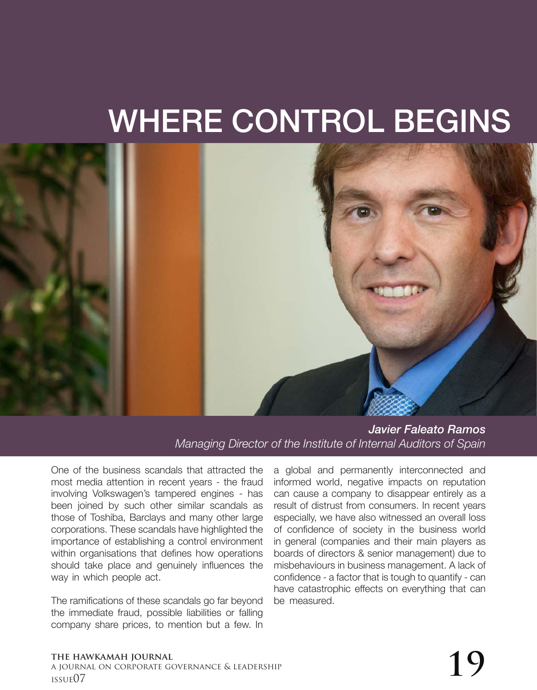# WHERE CONTROL BEGINS



*Javier Faleato Ramos Managing Director of the Institute of Internal Auditors of Spain*

One of the business scandals that attracted the most media attention in recent years - the fraud involving Volkswagen's tampered engines - has been joined by such other similar scandals as those of Toshiba, Barclays and many other large corporations. These scandals have highlighted the importance of establishing a control environment within organisations that defines how operations should take place and genuinely influences the way in which people act.

The ramifications of these scandals go far beyond the immediate fraud, possible liabilities or falling company share prices, to mention but a few. In a global and permanently interconnected and informed world, negative impacts on reputation can cause a company to disappear entirely as a result of distrust from consumers. In recent years especially, we have also witnessed an overall loss of confidence of society in the business world in general (companies and their main players as boards of directors & senior management) due to misbehaviours in business management. A lack of confidence - a factor that is tough to quantify - can have catastrophic effects on everything that can be measured.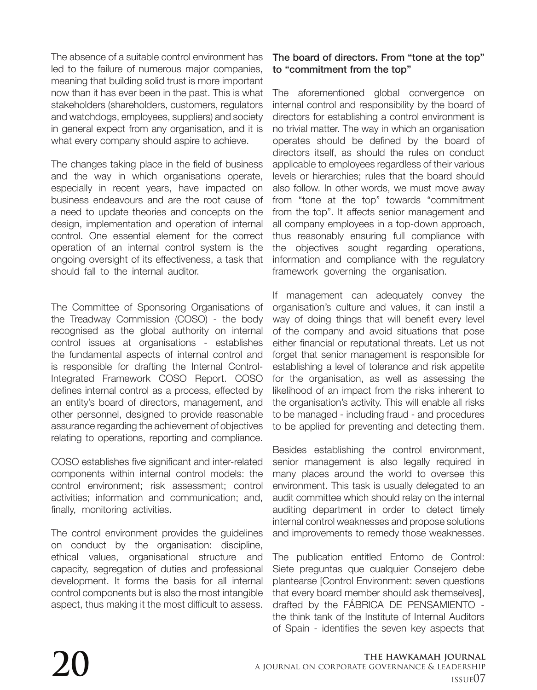The absence of a suitable control environment has led to the failure of numerous major companies, meaning that building solid trust is more important now than it has ever been in the past. This is what stakeholders (shareholders, customers, regulators and watchdogs, employees, suppliers) and society in general expect from any organisation, and it is what every company should aspire to achieve.

The changes taking place in the field of business and the way in which organisations operate, especially in recent years, have impacted on business endeavours and are the root cause of a need to update theories and concepts on the design, implementation and operation of internal control. One essential element for the correct operation of an internal control system is the ongoing oversight of its effectiveness, a task that should fall to the internal auditor.

The Committee of Sponsoring Organisations of the Treadway Commission (COSO) - the body recognised as the global authority on internal control issues at organisations - establishes the fundamental aspects of internal control and is responsible for drafting the Internal Control-Integrated Framework COSO Report. COSO defines internal control as a process, effected by an entity's board of directors, management, and other personnel, designed to provide reasonable assurance regarding the achievement of objectives relating to operations, reporting and compliance.

COSO establishes five significant and inter-related components within internal control models: the control environment; risk assessment; control activities; information and communication; and, finally, monitoring activities.

The control environment provides the guidelines on conduct by the organisation: discipline, ethical values, organisational structure and capacity, segregation of duties and professional development. It forms the basis for all internal control components but is also the most intangible aspect, thus making it the most difficult to assess.

## The board of directors. From "tone at the top" to "commitment from the top"

The aforementioned global convergence on internal control and responsibility by the board of directors for establishing a control environment is no trivial matter. The way in which an organisation operates should be defined by the board of directors itself, as should the rules on conduct applicable to employees regardless of their various levels or hierarchies; rules that the board should also follow. In other words, we must move away from "tone at the top" towards "commitment from the top". It affects senior management and all company employees in a top-down approach, thus reasonably ensuring full compliance with the objectives sought regarding operations, information and compliance with the regulatory framework governing the organisation.

If management can adequately convey the organisation's culture and values, it can instil a way of doing things that will benefit every level of the company and avoid situations that pose either financial or reputational threats. Let us not forget that senior management is responsible for establishing a level of tolerance and risk appetite for the organisation, as well as assessing the likelihood of an impact from the risks inherent to the organisation's activity. This will enable all risks to be managed - including fraud - and procedures to be applied for preventing and detecting them.

Besides establishing the control environment, senior management is also legally required in many places around the world to oversee this environment. This task is usually delegated to an audit committee which should relay on the internal auditing department in order to detect timely internal control weaknesses and propose solutions and improvements to remedy those weaknesses.

The publication entitled Entorno de Control: Siete preguntas que cualquier Consejero debe plantearse [Control Environment: seven questions that every board member should ask themselves], drafted by the FÁBRICA DE PENSAMIENTO the think tank of the Institute of Internal Auditors of Spain - identifies the seven key aspects that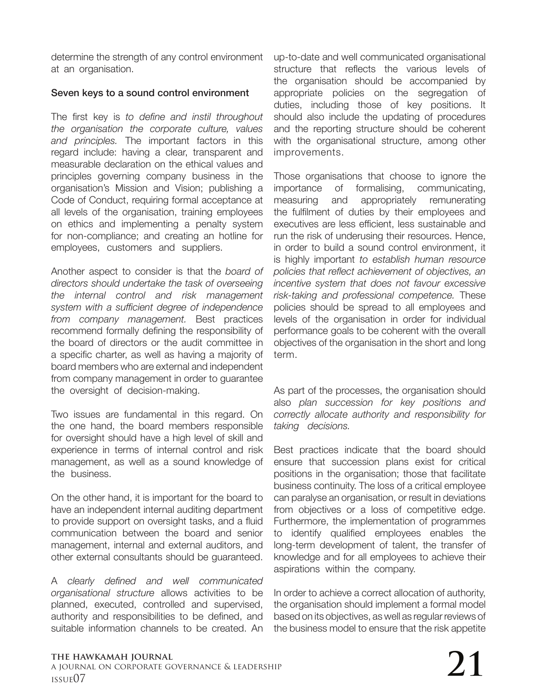determine the strength of any control environment at an organisation.

### Seven keys to a sound control environment

The first key is *to define and instil throughout the organisation the corporate culture, values and principles.* The important factors in this regard include: having a clear, transparent and measurable declaration on the ethical values and principles governing company business in the organisation's Mission and Vision; publishing a Code of Conduct, requiring formal acceptance at all levels of the organisation, training employees on ethics and implementing a penalty system for non-compliance; and creating an hotline for employees, customers and suppliers.

Another aspect to consider is that the *board of directors should undertake the task of overseeing the internal control and risk management system with a sufficient degree of independence from company management.* Best practices recommend formally defining the responsibility of the board of directors or the audit committee in a specific charter, as well as having a majority of board members who are external and independent from company management in order to guarantee the oversight of decision-making.

Two issues are fundamental in this regard. On the one hand, the board members responsible for oversight should have a high level of skill and experience in terms of internal control and risk management, as well as a sound knowledge of the business.

On the other hand, it is important for the board to have an independent internal auditing department to provide support on oversight tasks, and a fluid communication between the board and senior management, internal and external auditors, and other external consultants should be guaranteed.

A *clearly defined and well communicated organisational structure* allows activities to be planned, executed, controlled and supervised, authority and responsibilities to be defined, and suitable information channels to be created. An

up-to-date and well communicated organisational structure that reflects the various levels of the organisation should be accompanied by appropriate policies on the segregation of duties, including those of key positions. It should also include the updating of procedures and the reporting structure should be coherent with the organisational structure, among other improvements.

Those organisations that choose to ignore the importance of formalising, communicating, measuring and appropriately remunerating the fulfilment of duties by their employees and executives are less efficient, less sustainable and run the risk of underusing their resources. Hence, in order to build a sound control environment, it is highly important *to establish human resource policies that reflect achievement of objectives, an incentive system that does not favour excessive risk-taking and professional competence.* These policies should be spread to all employees and levels of the organisation in order for individual performance goals to be coherent with the overall objectives of the organisation in the short and long term.

As part of the processes, the organisation should also *plan succession for key positions and correctly allocate authority and responsibility for taking decisions.*

Best practices indicate that the board should ensure that succession plans exist for critical positions in the organisation; those that facilitate business continuity. The loss of a critical employee can paralyse an organisation, or result in deviations from objectives or a loss of competitive edge. Furthermore, the implementation of programmes to identify qualified employees enables the long-term development of talent, the transfer of knowledge and for all employees to achieve their aspirations within the company.

In order to achieve a correct allocation of authority, the organisation should implement a formal model based on its objectives, as well as regular reviews of the business model to ensure that the risk appetite

#### **the hawkamah journal** a journal on corporate governance & leadership The hawkamah journal<br>a journal on corporate governance & leadership<br>issue07  $\,$